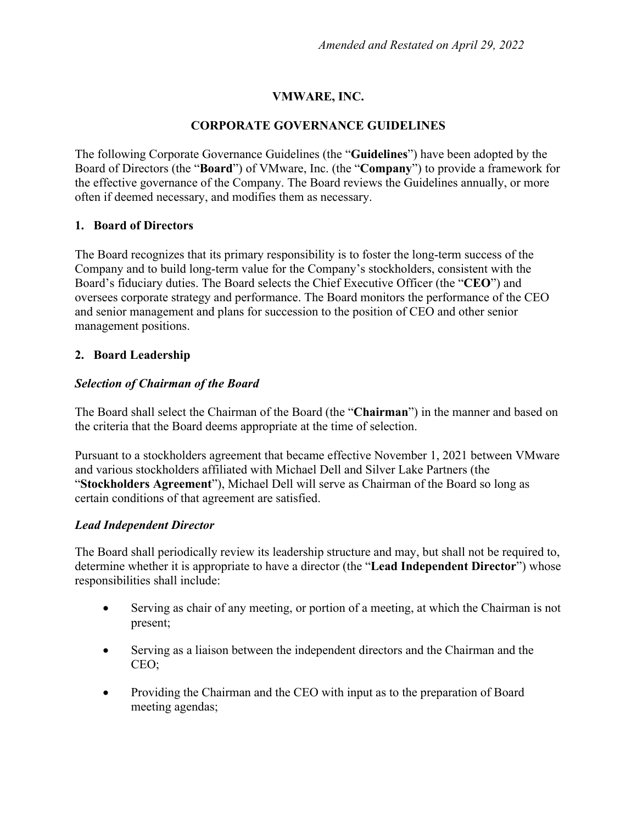## **VMWARE, INC.**

### **CORPORATE GOVERNANCE GUIDELINES**

The following Corporate Governance Guidelines (the "**Guidelines**") have been adopted by the Board of Directors (the "**Board**") of VMware, Inc. (the "**Company**") to provide a framework for the effective governance of the Company. The Board reviews the Guidelines annually, or more often if deemed necessary, and modifies them as necessary.

### **1. Board of Directors**

The Board recognizes that its primary responsibility is to foster the long-term success of the Company and to build long-term value for the Company's stockholders, consistent with the Board's fiduciary duties. The Board selects the Chief Executive Officer (the "**CEO**") and oversees corporate strategy and performance. The Board monitors the performance of the CEO and senior management and plans for succession to the position of CEO and other senior management positions.

### **2. Board Leadership**

### *Selection of Chairman of the Board*

The Board shall select the Chairman of the Board (the "**Chairman**") in the manner and based on the criteria that the Board deems appropriate at the time of selection.

Pursuant to a stockholders agreement that became effective November 1, 2021 between VMware and various stockholders affiliated with Michael Dell and Silver Lake Partners (the "**Stockholders Agreement**"), Michael Dell will serve as Chairman of the Board so long as certain conditions of that agreement are satisfied.

#### *Lead Independent Director*

The Board shall periodically review its leadership structure and may, but shall not be required to, determine whether it is appropriate to have a director (the "**Lead Independent Director**") whose responsibilities shall include:

- Serving as chair of any meeting, or portion of a meeting, at which the Chairman is not present;
- Serving as a liaison between the independent directors and the Chairman and the CEO;
- Providing the Chairman and the CEO with input as to the preparation of Board meeting agendas;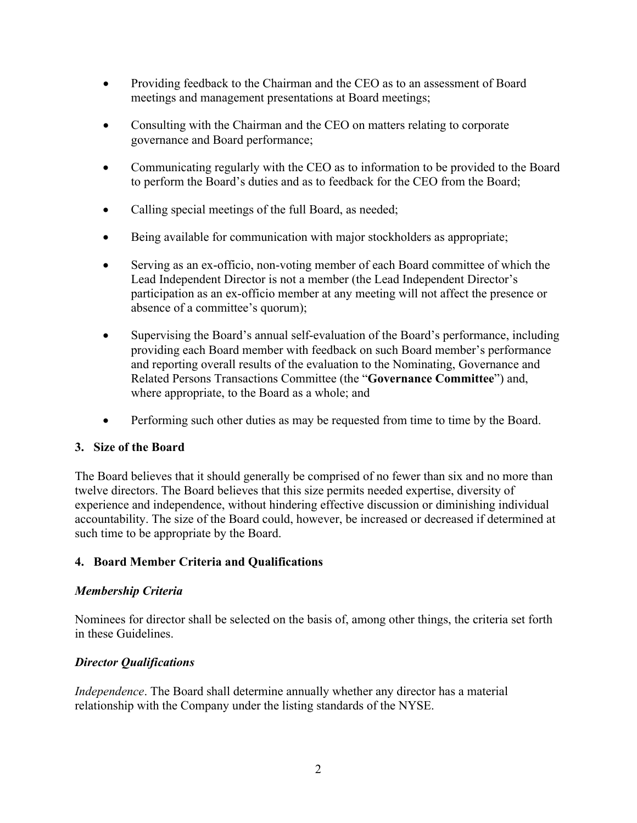- Providing feedback to the Chairman and the CEO as to an assessment of Board meetings and management presentations at Board meetings;
- Consulting with the Chairman and the CEO on matters relating to corporate governance and Board performance;
- Communicating regularly with the CEO as to information to be provided to the Board to perform the Board's duties and as to feedback for the CEO from the Board;
- Calling special meetings of the full Board, as needed;
- Being available for communication with major stockholders as appropriate;
- Serving as an ex-officio, non-voting member of each Board committee of which the Lead Independent Director is not a member (the Lead Independent Director's participation as an ex-officio member at any meeting will not affect the presence or absence of a committee's quorum);
- Supervising the Board's annual self-evaluation of the Board's performance, including providing each Board member with feedback on such Board member's performance and reporting overall results of the evaluation to the Nominating, Governance and Related Persons Transactions Committee (the "**Governance Committee**") and, where appropriate, to the Board as a whole; and
- Performing such other duties as may be requested from time to time by the Board.

## **3. Size of the Board**

The Board believes that it should generally be comprised of no fewer than six and no more than twelve directors. The Board believes that this size permits needed expertise, diversity of experience and independence, without hindering effective discussion or diminishing individual accountability. The size of the Board could, however, be increased or decreased if determined at such time to be appropriate by the Board.

## **4. Board Member Criteria and Qualifications**

## *Membership Criteria*

Nominees for director shall be selected on the basis of, among other things, the criteria set forth in these Guidelines.

## *Director Qualifications*

*Independence*. The Board shall determine annually whether any director has a material relationship with the Company under the listing standards of the NYSE.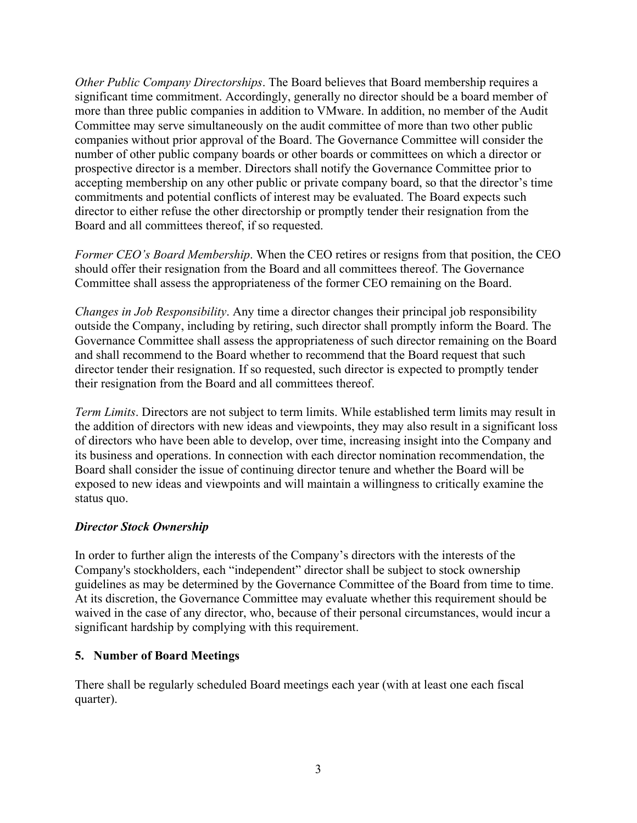*Other Public Company Directorships*. The Board believes that Board membership requires a significant time commitment. Accordingly, generally no director should be a board member of more than three public companies in addition to VMware. In addition, no member of the Audit Committee may serve simultaneously on the audit committee of more than two other public companies without prior approval of the Board. The Governance Committee will consider the number of other public company boards or other boards or committees on which a director or prospective director is a member. Directors shall notify the Governance Committee prior to accepting membership on any other public or private company board, so that the director's time commitments and potential conflicts of interest may be evaluated. The Board expects such director to either refuse the other directorship or promptly tender their resignation from the Board and all committees thereof, if so requested.

*Former CEO's Board Membership.* When the CEO retires or resigns from that position, the CEO should offer their resignation from the Board and all committees thereof. The Governance Committee shall assess the appropriateness of the former CEO remaining on the Board.

*Changes in Job Responsibility*. Any time a director changes their principal job responsibility outside the Company, including by retiring, such director shall promptly inform the Board. The Governance Committee shall assess the appropriateness of such director remaining on the Board and shall recommend to the Board whether to recommend that the Board request that such director tender their resignation. If so requested, such director is expected to promptly tender their resignation from the Board and all committees thereof.

*Term Limits*. Directors are not subject to term limits. While established term limits may result in the addition of directors with new ideas and viewpoints, they may also result in a significant loss of directors who have been able to develop, over time, increasing insight into the Company and its business and operations. In connection with each director nomination recommendation, the Board shall consider the issue of continuing director tenure and whether the Board will be exposed to new ideas and viewpoints and will maintain a willingness to critically examine the status quo.

## *Director Stock Ownership*

In order to further align the interests of the Company's directors with the interests of the Company's stockholders, each "independent" director shall be subject to stock ownership guidelines as may be determined by the Governance Committee of the Board from time to time. At its discretion, the Governance Committee may evaluate whether this requirement should be waived in the case of any director, who, because of their personal circumstances, would incur a significant hardship by complying with this requirement.

#### **5. Number of Board Meetings**

There shall be regularly scheduled Board meetings each year (with at least one each fiscal quarter).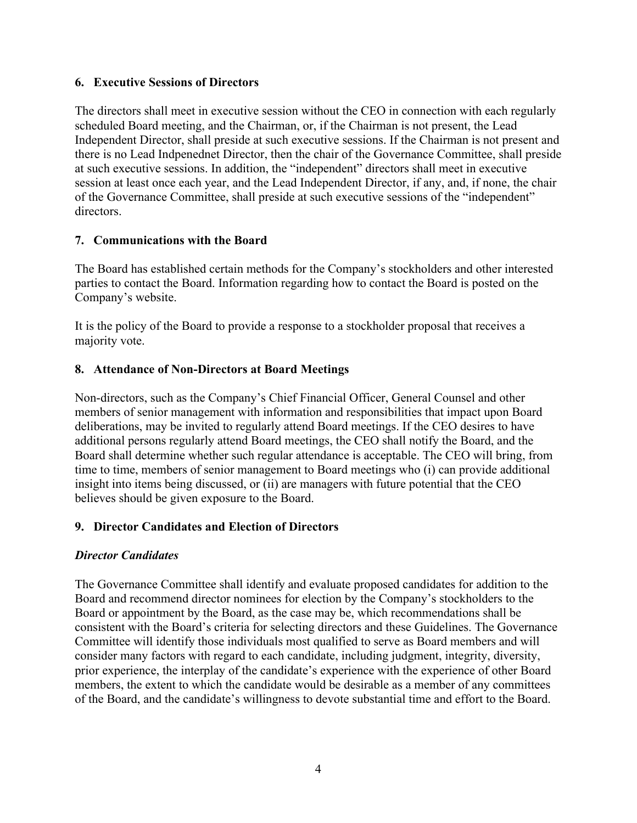### **6. Executive Sessions of Directors**

The directors shall meet in executive session without the CEO in connection with each regularly scheduled Board meeting, and the Chairman, or, if the Chairman is not present, the Lead Independent Director, shall preside at such executive sessions. If the Chairman is not present and there is no Lead Indpenednet Director, then the chair of the Governance Committee, shall preside at such executive sessions. In addition, the "independent" directors shall meet in executive session at least once each year, and the Lead Independent Director, if any, and, if none, the chair of the Governance Committee, shall preside at such executive sessions of the "independent" directors.

## **7. Communications with the Board**

The Board has established certain methods for the Company's stockholders and other interested parties to contact the Board. Information regarding how to contact the Board is posted on the Company's website.

It is the policy of the Board to provide a response to a stockholder proposal that receives a majority vote.

## **8. Attendance of Non-Directors at Board Meetings**

Non-directors, such as the Company's Chief Financial Officer, General Counsel and other members of senior management with information and responsibilities that impact upon Board deliberations, may be invited to regularly attend Board meetings. If the CEO desires to have additional persons regularly attend Board meetings, the CEO shall notify the Board, and the Board shall determine whether such regular attendance is acceptable. The CEO will bring, from time to time, members of senior management to Board meetings who (i) can provide additional insight into items being discussed, or (ii) are managers with future potential that the CEO believes should be given exposure to the Board.

## **9. Director Candidates and Election of Directors**

## *Director Candidates*

The Governance Committee shall identify and evaluate proposed candidates for addition to the Board and recommend director nominees for election by the Company's stockholders to the Board or appointment by the Board, as the case may be, which recommendations shall be consistent with the Board's criteria for selecting directors and these Guidelines. The Governance Committee will identify those individuals most qualified to serve as Board members and will consider many factors with regard to each candidate, including judgment, integrity, diversity, prior experience, the interplay of the candidate's experience with the experience of other Board members, the extent to which the candidate would be desirable as a member of any committees of the Board, and the candidate's willingness to devote substantial time and effort to the Board.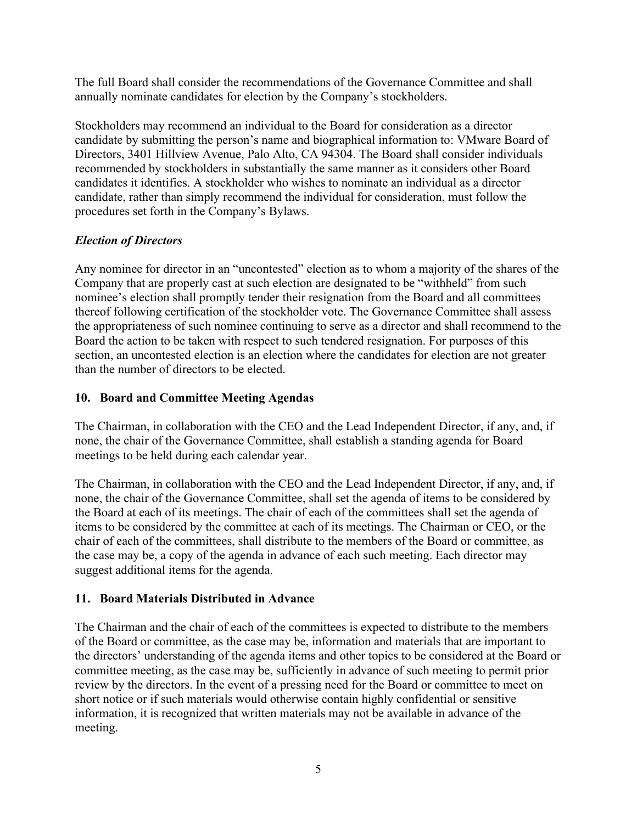The full Board shall consider the recommendations of the Governance Committee and shall annually nominate candidates for election by the Company's stockholders.

Stockholders may recommend an individual to the Board for consideration as a director candidate by submitting the person's name and biographical information to: VMware Board of Directors, 3401 Hillview Avenue, Palo Alto, CA 94304. The Board shall consider individuals recommended by stockholders in substantially the same manner as it considers other Board candidates it identifies. A stockholder who wishes to nominate an individual as a director candidate, rather than simply recommend the individual for consideration, must follow the procedures set forth in the Company's Bylaws.

# *Election of Directors*

Any nominee for director in an "uncontested" election as to whom a majority of the shares of the Company that are properly cast at such election are designated to be "withheld" from such nominee's election shall promptly tender their resignation from the Board and all committees thereof following certification of the stockholder vote. The Governance Committee shall assess the appropriateness of such nominee continuing to serve as a director and shall recommend to the Board the action to be taken with respect to such tendered resignation. For purposes of this section, an uncontested election is an election where the candidates for election are not greater than the number of directors to be elected.

## **10. Board and Committee Meeting Agendas**

The Chairman, in collaboration with the CEO and the Lead Independent Director, if any, and, if none, the chair of the Governance Committee, shall establish a standing agenda for Board meetings to be held during each calendar year.

The Chairman, in collaboration with the CEO and the Lead Independent Director, if any, and, if none, the chair of the Governance Committee, shall set the agenda of items to be considered by the Board at each of its meetings. The chair of each of the committees shall set the agenda of items to be considered by the committee at each of its meetings. The Chairman or CEO, or the chair of each of the committees, shall distribute to the members of the Board or committee, as the case may be, a copy of the agenda in advance of each such meeting. Each director may suggest additional items for the agenda.

# **11. Board Materials Distributed in Advance**

The Chairman and the chair of each of the committees is expected to distribute to the members of the Board or committee, as the case may be, information and materials that are important to the directors' understanding of the agenda items and other topics to be considered at the Board or committee meeting, as the case may be, sufficiently in advance of such meeting to permit prior review by the directors. In the event of a pressing need for the Board or committee to meet on short notice or if such materials would otherwise contain highly confidential or sensitive information, it is recognized that written materials may not be available in advance of the meeting.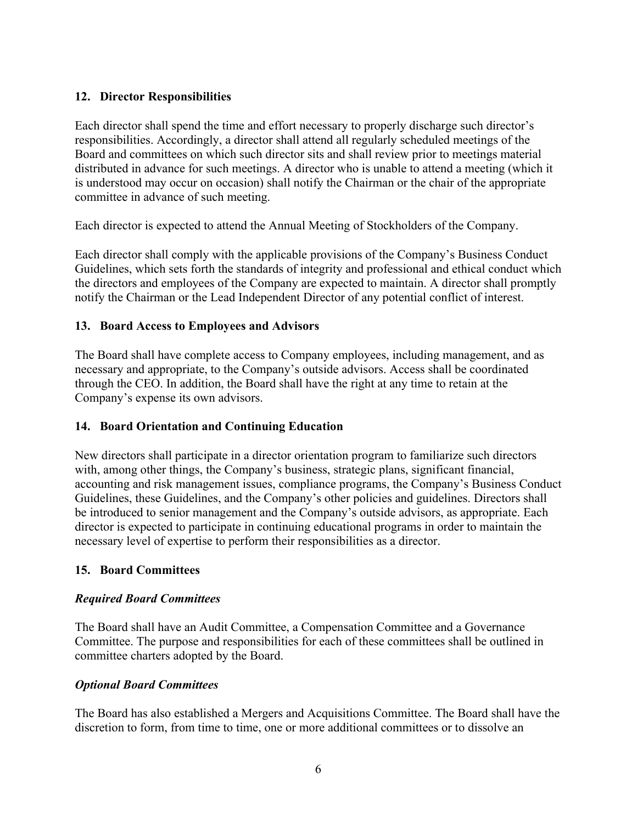## **12. Director Responsibilities**

Each director shall spend the time and effort necessary to properly discharge such director's responsibilities. Accordingly, a director shall attend all regularly scheduled meetings of the Board and committees on which such director sits and shall review prior to meetings material distributed in advance for such meetings. A director who is unable to attend a meeting (which it is understood may occur on occasion) shall notify the Chairman or the chair of the appropriate committee in advance of such meeting.

Each director is expected to attend the Annual Meeting of Stockholders of the Company.

Each director shall comply with the applicable provisions of the Company's Business Conduct Guidelines, which sets forth the standards of integrity and professional and ethical conduct which the directors and employees of the Company are expected to maintain. A director shall promptly notify the Chairman or the Lead Independent Director of any potential conflict of interest.

## **13. Board Access to Employees and Advisors**

The Board shall have complete access to Company employees, including management, and as necessary and appropriate, to the Company's outside advisors. Access shall be coordinated through the CEO. In addition, the Board shall have the right at any time to retain at the Company's expense its own advisors.

## **14. Board Orientation and Continuing Education**

New directors shall participate in a director orientation program to familiarize such directors with, among other things, the Company's business, strategic plans, significant financial, accounting and risk management issues, compliance programs, the Company's Business Conduct Guidelines, these Guidelines, and the Company's other policies and guidelines. Directors shall be introduced to senior management and the Company's outside advisors, as appropriate. Each director is expected to participate in continuing educational programs in order to maintain the necessary level of expertise to perform their responsibilities as a director.

## **15. Board Committees**

## *Required Board Committees*

The Board shall have an Audit Committee, a Compensation Committee and a Governance Committee. The purpose and responsibilities for each of these committees shall be outlined in committee charters adopted by the Board.

## *Optional Board Committees*

The Board has also established a Mergers and Acquisitions Committee. The Board shall have the discretion to form, from time to time, one or more additional committees or to dissolve an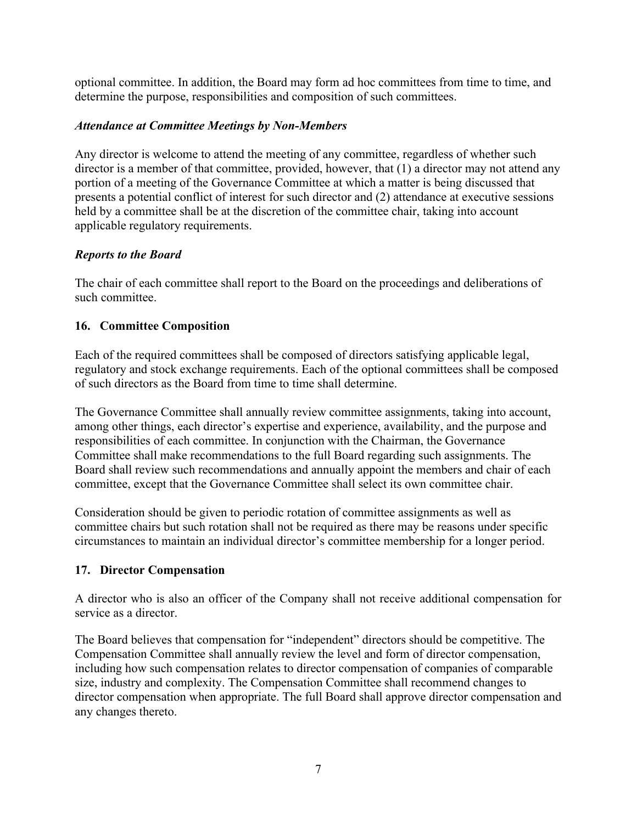optional committee. In addition, the Board may form ad hoc committees from time to time, and determine the purpose, responsibilities and composition of such committees.

## *Attendance at Committee Meetings by Non-Members*

Any director is welcome to attend the meeting of any committee, regardless of whether such director is a member of that committee, provided, however, that (1) a director may not attend any portion of a meeting of the Governance Committee at which a matter is being discussed that presents a potential conflict of interest for such director and (2) attendance at executive sessions held by a committee shall be at the discretion of the committee chair, taking into account applicable regulatory requirements.

## *Reports to the Board*

The chair of each committee shall report to the Board on the proceedings and deliberations of such committee.

# **16. Committee Composition**

Each of the required committees shall be composed of directors satisfying applicable legal, regulatory and stock exchange requirements. Each of the optional committees shall be composed of such directors as the Board from time to time shall determine.

The Governance Committee shall annually review committee assignments, taking into account, among other things, each director's expertise and experience, availability, and the purpose and responsibilities of each committee. In conjunction with the Chairman, the Governance Committee shall make recommendations to the full Board regarding such assignments. The Board shall review such recommendations and annually appoint the members and chair of each committee, except that the Governance Committee shall select its own committee chair.

Consideration should be given to periodic rotation of committee assignments as well as committee chairs but such rotation shall not be required as there may be reasons under specific circumstances to maintain an individual director's committee membership for a longer period.

## **17. Director Compensation**

A director who is also an officer of the Company shall not receive additional compensation for service as a director.

The Board believes that compensation for "independent" directors should be competitive. The Compensation Committee shall annually review the level and form of director compensation, including how such compensation relates to director compensation of companies of comparable size, industry and complexity. The Compensation Committee shall recommend changes to director compensation when appropriate. The full Board shall approve director compensation and any changes thereto.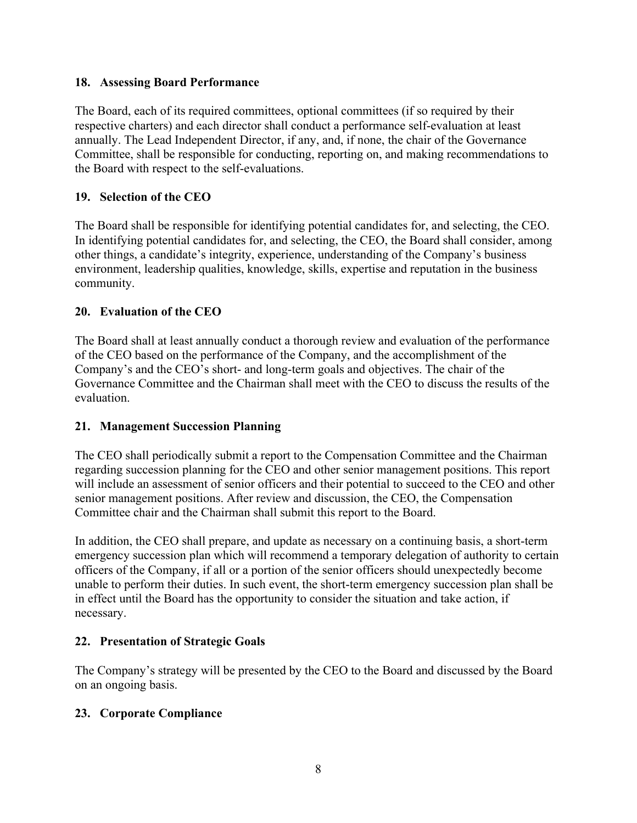## **18. Assessing Board Performance**

The Board, each of its required committees, optional committees (if so required by their respective charters) and each director shall conduct a performance self-evaluation at least annually. The Lead Independent Director, if any, and, if none, the chair of the Governance Committee, shall be responsible for conducting, reporting on, and making recommendations to the Board with respect to the self-evaluations.

## **19. Selection of the CEO**

The Board shall be responsible for identifying potential candidates for, and selecting, the CEO. In identifying potential candidates for, and selecting, the CEO, the Board shall consider, among other things, a candidate's integrity, experience, understanding of the Company's business environment, leadership qualities, knowledge, skills, expertise and reputation in the business community.

## **20. Evaluation of the CEO**

The Board shall at least annually conduct a thorough review and evaluation of the performance of the CEO based on the performance of the Company, and the accomplishment of the Company's and the CEO's short- and long-term goals and objectives. The chair of the Governance Committee and the Chairman shall meet with the CEO to discuss the results of the evaluation.

## **21. Management Succession Planning**

The CEO shall periodically submit a report to the Compensation Committee and the Chairman regarding succession planning for the CEO and other senior management positions. This report will include an assessment of senior officers and their potential to succeed to the CEO and other senior management positions. After review and discussion, the CEO, the Compensation Committee chair and the Chairman shall submit this report to the Board.

In addition, the CEO shall prepare, and update as necessary on a continuing basis, a short-term emergency succession plan which will recommend a temporary delegation of authority to certain officers of the Company, if all or a portion of the senior officers should unexpectedly become unable to perform their duties. In such event, the short-term emergency succession plan shall be in effect until the Board has the opportunity to consider the situation and take action, if necessary.

## **22. Presentation of Strategic Goals**

The Company's strategy will be presented by the CEO to the Board and discussed by the Board on an ongoing basis.

## **23. Corporate Compliance**